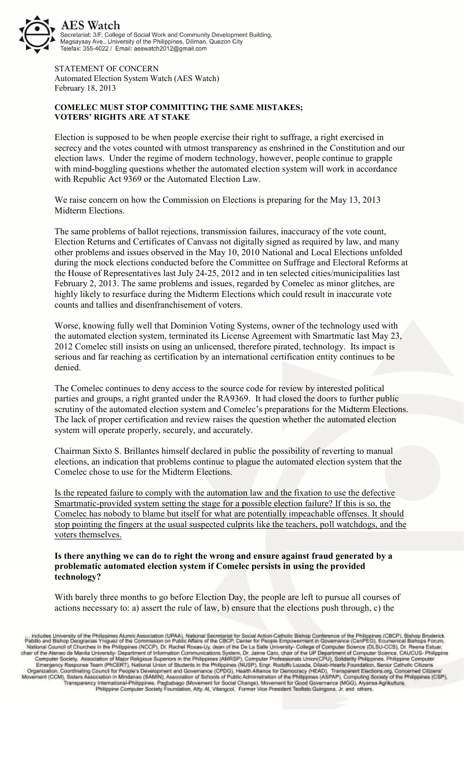

STATEMENT OF CONCERN Automated Election System Watch (AES Watch) February 18, 2013

## **COMELEC MUST STOP COMMITTING THE SAME MISTAKES; VOTERS' RIGHTS ARE AT STAKE**

Election is supposed to be when people exercise their right to suffrage, a right exercised in secrecy and the votes counted with utmost transparency as enshrined in the Constitution and our election laws. Under the regime of modern technology, however, people continue to grapple with mind-boggling questions whether the automated election system will work in accordance with Republic Act 9369 or the Automated Election Law.

We raise concern on how the Commission on Elections is preparing for the May 13, 2013 Midterm Elections.

The same problems of ballot rejections, transmission failures, inaccuracy of the vote count, Election Returns and Certificates of Canvass not digitally signed as required by law, and many other problems and issues observed in the May 10, 2010 National and Local Elections unfolded during the mock elections conducted before the Committee on Suffrage and Electoral Reforms at the House of Representatives last July 24-25, 2012 and in ten selected cities/municipalities last February 2, 2013. The same problems and issues, regarded by Comelec as minor glitches, are highly likely to resurface during the Midterm Elections which could result in inaccurate vote counts and tallies and disenfranchisement of voters.

Worse, knowing fully well that Dominion Voting Systems, owner of the technology used with the automated election system, terminated its License Agreement with Smartmatic last May 23, 2012 Comelec still insists on using an unlicensed, therefore pirated, technology. Its impact is serious and far reaching as certification by an international certification entity continues to be denied.

The Comelec continues to deny access to the source code for review by interested political parties and groups, a right granted under the RA9369. It had closed the doors to further public scrutiny of the automated election system and Comelec's preparations for the Midterm Elections. The lack of proper certification and review raises the question whether the automated election system will operate properly, securely, and accurately.

Chairman Sixto S. Brillantes himself declared in public the possibility of reverting to manual elections, an indication that problems continue to plague the automated election system that the Comelec chose to use for the Midterm Elections.

Is the repeated failure to comply with the automation law and the fixation to use the defective Smartmatic-provided system setting the stage for a possible election failure? If this is so, the Comelec has nobody to blame but itself for what are potentially impeachable offenses. It should stop pointing the fingers at the usual suspected culprits like the teachers, poll watchdogs, and the voters themselves.

## **Is there anything we can do to right the wrong and ensure against fraud generated by a problematic automated election system if Comelec persists in using the provided technology?**

With barely three months to go before Election Day, the people are left to pursue all courses of actions necessary to: a) assert the rule of law, b) ensure that the elections push through, c) the

... Includes University of the Philippines Alumni Association (UPAA), National Secretarist for Social Action-Catholic Bishop Conference of the Philippines (GBCP), Bishop Broderick<br>Pabilo and Bishop Deogracias Ynguaz of the